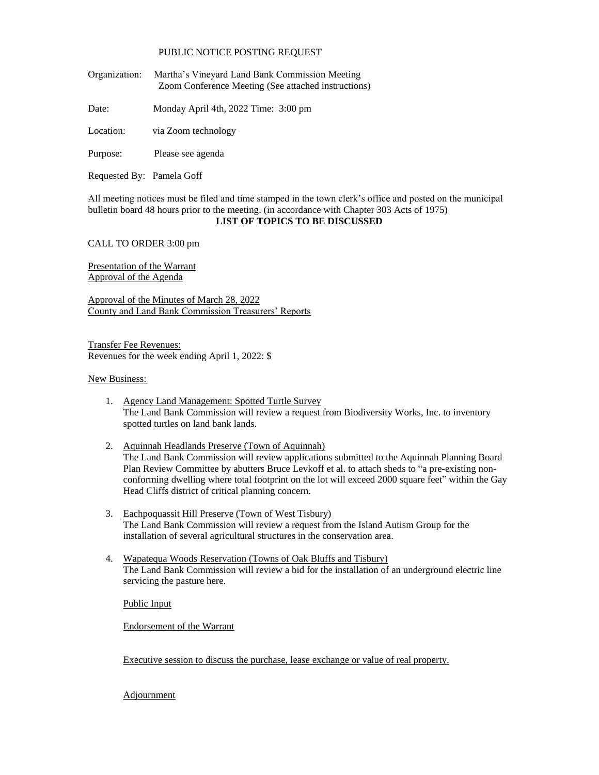## PUBLIC NOTICE POSTING REQUEST

- Organization: Martha's Vineyard Land Bank Commission Meeting Zoom Conference Meeting (See attached instructions)
- Date: Monday April 4th, 2022 Time: 3:00 pm
- Location: via Zoom technology
- Purpose: Please see agenda
- Requested By: Pamela Goff

All meeting notices must be filed and time stamped in the town clerk's office and posted on the municipal bulletin board 48 hours prior to the meeting. (in accordance with Chapter 303 Acts of 1975)

## **LIST OF TOPICS TO BE DISCUSSED**

CALL TO ORDER 3:00 pm

Presentation of the Warrant Approval of the Agenda

Approval of the Minutes of March 28, 2022 County and Land Bank Commission Treasurers' Reports

Transfer Fee Revenues: Revenues for the week ending April 1, 2022: \$

## New Business:

- 1. Agency Land Management: Spotted Turtle Survey The Land Bank Commission will review a request from Biodiversity Works, Inc. to inventory spotted turtles on land bank lands.
- 2. Aquinnah Headlands Preserve (Town of Aquinnah) The Land Bank Commission will review applications submitted to the Aquinnah Planning Board Plan Review Committee by abutters Bruce Levkoff et al. to attach sheds to "a pre-existing nonconforming dwelling where total footprint on the lot will exceed 2000 square feet" within the Gay Head Cliffs district of critical planning concern.
- 3. Eachpoquassit Hill Preserve (Town of West Tisbury) The Land Bank Commission will review a request from the Island Autism Group for the installation of several agricultural structures in the conservation area.
- 4. Wapatequa Woods Reservation (Towns of Oak Bluffs and Tisbury) The Land Bank Commission will review a bid for the installation of an underground electric line servicing the pasture here.

Public Input

Endorsement of the Warrant

Executive session to discuss the purchase, lease exchange or value of real property.

**Adjournment**